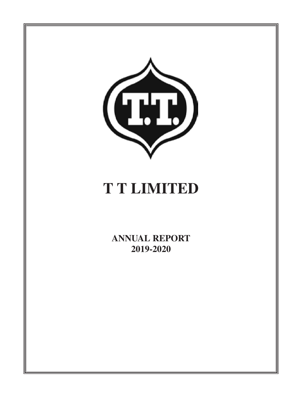

# **T T LIMITED**

**ANNUAL REPORT 2019-2020**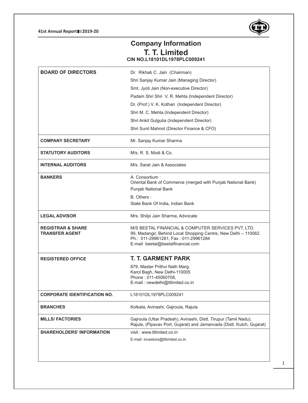### **41st Annual Report 2019-20**



# **Company Information T. T. Limited CIN NO.L18101DL1978PLC009241**

| <b>BOARD OF DIRECTORS</b>                             | Dr. Rikhab C. Jain (Chairman)                                                                                                                                                                      |  |  |
|-------------------------------------------------------|----------------------------------------------------------------------------------------------------------------------------------------------------------------------------------------------------|--|--|
|                                                       | Shri Sanjay Kumar Jain (Managing Director)                                                                                                                                                         |  |  |
|                                                       | Smt. Jyoti Jain (Non-executive Director)                                                                                                                                                           |  |  |
|                                                       | Padam Shri Shri V. R. Mehta (Independent Director)                                                                                                                                                 |  |  |
|                                                       | Dr. (Prof.) V. K. Kothari (Independent Director)                                                                                                                                                   |  |  |
|                                                       | Shri M. C. Mehta (Independent Director)                                                                                                                                                            |  |  |
|                                                       | Shri Ankit Gulgulia (Independent Director)                                                                                                                                                         |  |  |
|                                                       | Shri Sunil Mahnot (Director Finance & CFO)                                                                                                                                                         |  |  |
| <b>COMPANY SECRETARY</b>                              | Mr. Sanjay Kumar Sharma                                                                                                                                                                            |  |  |
| <b>STATUTORY AUDITORS</b>                             | M/s. R. S. Modi & Co.                                                                                                                                                                              |  |  |
| <b>INTERNAL AUDITORS</b>                              | M/s. Sarat Jain & Associates                                                                                                                                                                       |  |  |
| <b>BANKERS</b>                                        | A. Consortium:                                                                                                                                                                                     |  |  |
|                                                       | Oriental Bank of Commerce (merged with Punjab National Bank)<br>Punjab National Bank                                                                                                               |  |  |
|                                                       | B. Others:                                                                                                                                                                                         |  |  |
|                                                       | State Bank Of India, Indian Bank                                                                                                                                                                   |  |  |
|                                                       |                                                                                                                                                                                                    |  |  |
| <b>LEGAL ADVISOR</b>                                  | Mrs. Shilpi Jain Sharma, Advocate                                                                                                                                                                  |  |  |
| <b>REGISTRAR &amp; SHARE</b><br><b>TRANSFER AGENT</b> | M/S BEETAL FINANCIAL & COMPUTER SERVICES PVT. LTD.<br>99, Madangir, Behind Local Shopping Centre, New Delhi - 110062.<br>Ph.: 011-29961281, Fax: 011-29961284<br>E-mail beetal@beetalfinancial.com |  |  |
| <b>REGISTERED OFFICE</b>                              | <b>T. T. GARMENT PARK</b>                                                                                                                                                                          |  |  |
|                                                       | 879, Master Prithvi Nath Marg,                                                                                                                                                                     |  |  |
|                                                       | Karol Bagh, New Delhi-110005<br>Phone: 011-45060708,                                                                                                                                               |  |  |
|                                                       | E-mail: newdelhi@ttlimited.co.in                                                                                                                                                                   |  |  |
| <b>CORPORATE IDENTIFICATION NO.</b>                   | L18101DL1978PLC009241                                                                                                                                                                              |  |  |
| <b>BRANCHES</b>                                       | Kolkata, Avinashi, Gajroula, Rajula                                                                                                                                                                |  |  |
| <b>MILLS/ FACTORIES</b>                               | Gajroula (Uttar Pradesh), Avinashi, Distt. Tirupur (Tamil Nadu),<br>Rajula, (Pipavav Port, Gujarat) and Jamanvada (Distt. Kutch, Gujarat)                                                          |  |  |
| <b>SHAREHOLDERS' INFORMATION</b>                      | visit: www.ttlimited.co.in                                                                                                                                                                         |  |  |
|                                                       | E-mail: investors@ttlimited.co.in                                                                                                                                                                  |  |  |
|                                                       |                                                                                                                                                                                                    |  |  |
|                                                       |                                                                                                                                                                                                    |  |  |
|                                                       |                                                                                                                                                                                                    |  |  |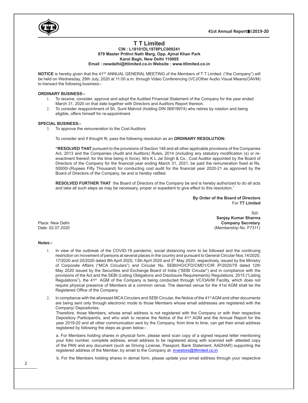

## **T T Limited**

**CIN : L18101DL1978PLC009241 879 Master Prithvi Nath Marg, Opp. Ajmal Khan Park**

**Karol Bagh, New Delhi 110005**

#### **Email : newdelhi@ttlimited.co.in Website : www.ttlimited.co.in**

**NOTICE** is hereby given that the 41<sup>st</sup> ANNUAL GENERAL MEETING of the Members of T T Limited. ("the Company") will be held on Wednesday, 29th July, 2020 at 11:00 a.m. through Video Conferencing (VC)/Other Audio Visual Means(OAVM) to transact the following business:-

#### **ORDINARY BUSINESS:-**

- 1. To receive, consider, approve and adopt the Audited Financial Statement of the Company for the year ended March 31, 2020 on that date together with Directors and Auditors Report thereon.
- 2. To consider reappointment of Sh. Sunil Mahnot (holding DIN 06819974) who retires by rotation and being eligible, offers himself for re-appointment.

#### **SPECIAL BUSINESS:-**

3. To approve the remuneration to the Cost Auditors

To consider and if thought fit, pass the following resolution as an **ORDINARY RESOLUTION:**

**"RESOLVED THAT** pursuant to the provisions of Section 148 and all other applicable provisions of the Companies Act, 2013 and the Companies (Audit and Auditors) Rules, 2014 (including any statutory modification (s) or reenactment thereof, for the time being in force). M/s K L Jai Singh & Co., Cost Auditor appointed by the Board of Directors of the Company for the financial year ending March 31, 2021, be paid the remuneration fixed at Rs. 50000/-(Rupees Fifty Thousand) for conducting cost audit for the financial year 2020-21 as approved by the Board of Directors of the Company, be and is hereby ratified.

**RESOLVED FURTHER THAT** the Board of Directors of the Company be and is hereby authorized to do all acts and take all such steps as may be necessary, proper or expedient to give effect to this resolution."

> **By Order of the Board of Directors** For **TT Limited**

 Sd/- **Sanjay Kumar Sharma** Place: New Delhi **Company Secretary**<br>
Date: 02.07.2020 (Membership No. F7311)

#### **Notes:-**

- 1. In view of the outbreak of the COVID-19 pandemic, social distancing norm to be followed and the continuing restriction on movement of persons at several places in the country and pursuant to General Circular Nos.14/2020, 17/2020 and 20/2020 dated 8th April 2020, 13th April 2020 and 5<sup>th</sup> May 2020, respectively, issued by the Ministry of Corporate Affairs ("MCA Circulars") and Circular No. SEBI/HO/CFD/CMD1/CIR /P/2020/79 dated 12th May 2020 issued by the Securities and Exchange Board of India ("SEBI Circular") and in compliance with the provisions of the Act and the SEBI (Listing Obligations and Disclosure Requirements) Regulations, 2015 ("Listing Regulations"), the 41<sup>st</sup> AGM of the Company is being conducted through VC/OAVM Facility, which does not require physical presence of Members at a common venue. The deemed venue for the 41st AGM shall be the Registered Office of the Company.
- 2. In compliance with the aforesaid MCA Circulars and SEBI Circular, the Notice of the 41<sup>st</sup> AGM and other documents are being sent only through electronic mode to those Members whose email addresses are registered with the Company/ Depositories.

Therefore, those Members, whose email address is not registered with the Company or with their respective Depository Participant/s, and who wish to receive the Notice of the 41<sup>st</sup> AGM and the Annual Report for the year 2019-20 and all other communication sent by the Company, from time to time, can get their email address registered by following the steps as given below:-

a. For Members holding shares in physical form, please send scan copy of a signed request letter mentioning your folio number, complete address, email address to be registered along with scanned self- attested copy of the PAN and any document (such as Driving License, Passport, Bank Statement, AADHAR) supporting the registered address of the Member, by email to the Company at: investors@ttlimited.co.in

b. For the Members holding shares in demat form, please update your email address through your respective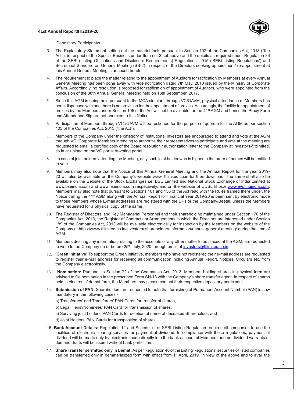#### **41st Annual Report 2019-20**



Depository Participant/s.

- 3. The Explanatory Statement setting out the material facts pursuant to Section 102 of the Companies Act, 2013 (''the Act''), in respect of the Special Business under Item no. 3 set above and the details as required under Regulation 36 of the SEBI (Listing Obligations and Disclosure Requirements) Regulations, 2015 ('SEBI Listing Regulations') and Secretarial Standard on General Meeting (SS-2) in respect of the Directors seeking appointment/ re-appointment at this Annual General Meeting is annexed hereto.
- 4. The requirement to place the matter relating to the appointment of Auditors for ratification by Members at every Annual General Meeting has been done away with vide notification dated 7th May, 2018 issued by the Ministry of Corporate Affairs. Accordingly, no resolution is proposed for ratification of appointment of Auditors, who were appointed from the conclusion of the 38th Annual General Meeting held on 13th September, 2017.
- 5. Since this AGM is being held pursuant to the MCA circulars through VC/OAVM, physical attendance of Members has been dispensed with and there is no provision for the appointment of proxies. Accordingly, the facility for appointment of proxies by the Members under Section 105 of the Act will not be available for the 41<sup>st</sup> AGM and hence the Proxy Form and Attendance Slip are not annexed to this Notice.
- 6. Participation of Members through VC /OAVM will be reckoned for the purpose of quorum for the AGM as per section 103 of the Companies Act, 2013 ("the Act").
- 7. Members of the Company under the category of Institutional Investors are encouraged to attend and vote at the AGM through VC. Corporate Members intending to authorize their representatives to participate and vote at the meeting are requested to email a certified copy of the Board resolution / authorization letter to the Company at investors@ttlimited. co.in or upload on the VC portal /e-voting portal.
- 8. In case of joint holders attending the Meeting, only such joint holder who is higher in the order of names will be entitled to vote.
- 9. Members may also note that the Notice of this Annual General Meeting and the Annual Report for the year 2019- 20 will also be available on the Company's website www. ttlimited.co.in for their download. The same shall also be available on the website of the Stock Exchanges i.e. BSE Limited and National Stock Exchange of India Limited at www.bseindia.com and www.nseindia.com respectively, and on the website of CDSL https:// www.evotingindia.com. Members may also note that pursuant to Sections 101 and 136 of the Act read with the Rules framed there under, the Notice calling the 41<sup>st</sup> AGM along with the Annual Report for Financial Year 2019-20 is been sent by electronic mode to those Members whose E-mail addresses are registered with the DPs or the Company/Beetal, unless the Members have requested for a physical copy of the same.
- 10. The Register of Directors' and Key Managerial Personnel and their shareholding maintained under Section 170 of the Companies Act, 2013, the Register of Contracts or Arrangements in which the Directors are interested under Section 189 of the Companies Act, 2013 will be available electronically for inspection by the Members on the website of the Company at https://www.ttlimited.co.in/investors/ shareholders-information/annual-general-meeting/ during the time of AGM.
- 11. Members desiring any information relating to the accounts or any other matter to be placed at the AGM, are requested to write to the Company on or before 25<sup>th</sup> July, 2020 through email at *investors@ttlimited.co.in.*
- 12. **Green Initiative:** To support the Green Initiative, members who have not registered their e-mail address are requested to register their e-mail address for receiving all communication including Annual Report, Notices, Circulars etc. from the Company electronically.
- 13. **Nomination:** Pursuant to Section 72 of the Companies Act, 2013, Members holding shares in physical form are advised to file nomination in the prescribed Form SH-13 with the Company's share transfer agent. In respect of shares held in electronic/ demat form, the Members may please contact their respective depository participant.
- 14. **Submission of PAN:** Shareholders are requested to note that furnishing of Permanent Account Number (PAN) is now mandatory in the following cases:
	- a) Transferees' and Transferors' PAN Cards for transfer of shares,
	- b) Legal Heirs'/Nominees' PAN Card for transmission of shares,
	- c) Surviving joint holders' PAN Cards for deletion of name of deceased Shareholder, and
	- d) Joint Holders' PAN Cards for transposition of shares.
- 16. **Bank Account Details:** Regulation 12 and Schedule I of SEBI Listing Regulation requires all companies to use the facilities of electronic clearing services for payment of dividend. In compliance with these regulations, payment of dividend will be made only by electronic mode directly into the bank account of Members and no dividend warrants or demand drafts will be issued without bank particulars.
- 17. **Share Transfer permitted only in Demat:** As per Regulation 40 of the Listing Regulations, securities of listed companies can be transferred only in dematerialized form with effect from 1<sup>st</sup> April, 2019. In view of the above and to avail the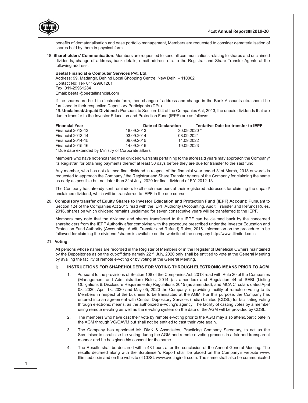

benefits of dematerialisation and ease portfolio management, Members are requested to consider dematerialisation of shares held by them in physical form.

18. **Shareholders' Communication:** Members are requested to send all communications relating to shares and unclaimed dividends, change of address, bank details, email address etc. to the Registrar and Share Transfer Agents at the following address:

#### **Beetal Financial & Computer Services Pvt. Ltd.**

Address: 99, Madangir, Behind Local Shopping Centre, New Delhi – 110062 Contact No: Tel- 011-29961281 Fax: 011-29961284 Email: beetal@beetalfinancial.com

If the shares are held in electronic form, then change of address and change in the Bank Accounts etc. should be furnished to their respective Depository Participants (DPs).

19. **Unclaimed/Unpaid Dividend :** Pursuant to Section 124 of the Companies Act, 2013, the unpaid dividends that are due to transfer to the Investor Education and Protection Fund (IEPF) are as follows:

| <b>Financial Year</b>                                | Date of Declaration |               | Tentative Date for transfer to IEPF |  |
|------------------------------------------------------|---------------------|---------------|-------------------------------------|--|
| Financial 2012-13                                    | 18.09.2013          | $30.09.2020*$ |                                     |  |
| Financial 2013-14                                    | 03.09.2014          | 08.09.2021    |                                     |  |
| Financial 2014-15                                    | 09.09.2015          | 14.09.2022    |                                     |  |
| Financial 2015-16                                    | 14.09.2016          | 19.09.2023    |                                     |  |
| * Due date extended by Ministry of Corporate affairs |                     |               |                                     |  |

Members who have not encashed their dividend warrants pertaining to the aforesaid years may approach the Company/ its Registrar, for obtaining payments thereof at least 30 days before they are due for transfer to the said fund.

Any member, who has not claimed final dividend in respect of the financial year ended 31st March, 2013 onwards is requested to approach the Company / the Registrar and Share Transfer Agents of the Company for claiming the same as early as possible but not later than 31st July, 2020 for final dividend of F.Y. 2012-13.

The Company has already sent reminders to all such members at their registered addresses for claiming the unpaid/ unclaimed dividend, which will be transferred to IEPF in the due course.

20. **Compulsory transfer of Equity Shares to Investor Education and Protection Fund (IEPF) Account:** Pursuant to Section 124 of the Companies Act 2013 read with the IEPF Authority (Accounting, Audit, Transfer and Refund) Rules, 2016, shares on which dividend remains unclaimed for seven consecutive years will be transferred to the IEPF.

Members may note that the dividend and shares transferred to the IEPF can be claimed back by the concerned shareholders from the IEPF Authority after complying with the procedure prescribed under the Investor Education and Protection Fund Authority (Accounting, Audit, Transfer and Refund) Rules, 2016. Information on the procedure to be followed for claiming the dividend /shares is available on the website of the company http://www.ttlimited.co.in

#### 21. **Voting:**

All persons whose names are recorded in the Register of Members or in the Register of Beneficial Owners maintained by the Depositories as on the cut-off date namely 22<sup>nd</sup> July, 2020 only shall be entitled to vote at the General Meeting by availing the facility of remote e-voting or by voting at the General Meeting.

#### I) **INSTRUCTIONS FOR SHAREHOLDERS FOR VOTING THROUGH ELECTRONIC MEANS PRIOR TO AGM**

- 1. Pursuant to the provisions of Section 108 of the Companies Act, 2013 read with Rule 20 of the Companies (Management and Administration) Rules, 2014 (as amended) and Regulation 44 of SEBI (Listing Obligations & Disclosure Requirements) Regulations 2015 (as amended), and MCA Circulars dated April 08, 2020, April 13, 2020 and May 05, 2020 the Company is providing facility of remote e-voting to its Members in respect of the business to be transacted at the AGM. For this purpose, the Company has entered into an agreement with Central Depository Services (India) Limited (CDSL) for facilitating voting through electronic means, as the authorized e-Voting's agency. The facility of casting votes by a member using remote e-voting as well as the e-voting system on the date of the AGM will be provided by CDSL.
- 2. The members who have cast their vote by remote e-voting prior to the AGM may also attend/participate in the AGM through VC/OAVM but shall not be entitled to cast their vote again.
- 3. The Company has appointed Mr. DMK & Associates, Practicing Company Secretary, to act as the Scrutiniser to scrutinise the voting during the AGM and remote e-voting process in a fair and transparent manner and he has given his consent for the same.
- 4. The Results shall be declared within 48 hours after the conclusion of the Annual General Meeting. The results declared along with the Scrutiniser's Report shall be placed on the Company's website www. ttlimited.co.in and on the website of CDSL www.evotingindia.com. The same shall also be communicated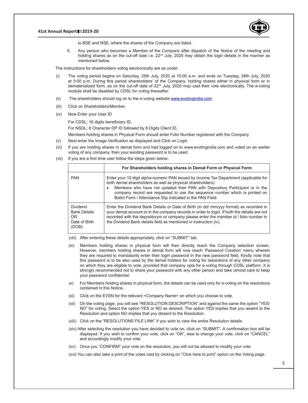

to BSE and NSE, where the shares of the Company are listed.

 5. Any person who becomes a Member of the Company after dispatch of the Notice of the meeting and holding shares as on the cut-off date i.e. 22<sup>nd</sup> July, 2020 may obtain the login details in the manner as mentioned below.

The instructions for shareholders voting electronically are as under:

- (i) The voting period begins on Saturday, 25th July, 2020 at 10:00 a.m. and ends on Tuesday, 28th July, 2020 at 5:00 p.m. During this period shareholders' of the Company, holding shares either in physical form or in dematerialized form, as on the cut-off date of 22<sup>nd</sup> July, 2020 may cast their vote electronically. The e-voting module shall be disabled by CDSL for voting thereafter.
- (ii) The shareholders should log on to the e-voting website www.evotingindia.com.
- (iii) Click on Shareholders/Member.
- (iv) Now Enter your User ID

 For CDSL: 16 digits beneficiary ID,

For NSDL: 8 Character DP ID followed by 8 Digits Client ID,

Members holding shares in Physical Form should enter Folio Number registered with the Company

- (v) Next enter the Image Verification as displayed and Click on Login
- (vi) If you are holding shares in demat form and had logged on to www.evotingindia.com and voted on an earlier voting of any company, then your existing password is to be used.
- (vii) If you are a first time user follow the steps given below:

|                                                                               | For Shareholders holding shares in Demat Form or Physical Form                                                                                                                                                                                                                                                                                                                  |
|-------------------------------------------------------------------------------|---------------------------------------------------------------------------------------------------------------------------------------------------------------------------------------------------------------------------------------------------------------------------------------------------------------------------------------------------------------------------------|
| <b>PAN</b>                                                                    | Enter your 10 digit alpha-numeric PAN issued by Income Tax Department (applicable for<br>both demat shareholders as well as physical shareholders).<br>Members who have not updated their PAN with Depository Participant or in the<br>company record are requested to use the sequence number which is printed on<br>Ballot Form / Attendance Slip indicated in the PAN Field. |
| <b>Dividend</b><br><b>Bank Details</b><br><b>OR</b><br>Date of Birth<br>(DOB) | Enter the Dividend Bank Details or Date of Birth (in dd/ mm/yyy format) as recorded in<br>your demat account or in the company records in order to login. If both the details are not<br>recorded with the depositorym or company please enter the member id / folio number in<br>the Dividend Bank details field as mentioned in instruction (iv).                             |

(viii) After entering these details appropriately, click on "SUBMIT" tab.

- (ix) Members holding shares in physical form will then directly reach the Company selection screen. However, members holding shares in demat form will now reach 'Password Creation' menu wherein they are required to mandatorily enter their login password in the new password field. Kindly note that this password is to be also used by the demat holders for voting for resolutions of any other company on which they are eligible to vote, provided that company opts for e-voting through CDSL platform. It is strongly recommended not to share your password with any other person and take utmost care to keep your password confidential.
- (x) For Members holding shares in physical form, the details can be used only for e-voting on the resolutions contained in this Notice.
- (xi) Click on the EVSN for the relevant <Company Name> on which you choose to vote.
- (xii) On the voting page, you will see "RESOLUTION DESCRIPTION" and against the same the option "YES/ NO" for voting. Select the option YES or NO as desired. The option YES implies that you assent to the Resolution and option NO implies that you dissent to the Resolution.
- (xiii) Click on the "RESOLUTIONS FILE LINK" if you wish to view the entire Resolution details.
- (xiv) After selecting the resolution you have decided to vote on, click on "SUBMIT". A confirmation box will be displayed. If you wish to confirm your vote, click on "OK", else to change your vote, click on "CANCEL" and accordingly modify your vote.
- (xv) Once you "CONFIRM" your vote on the resolution, you will not be allowed to modify your vote.
- (xvi) You can also take a print of the votes cast by clicking on "Click here to print" option on the Voting page.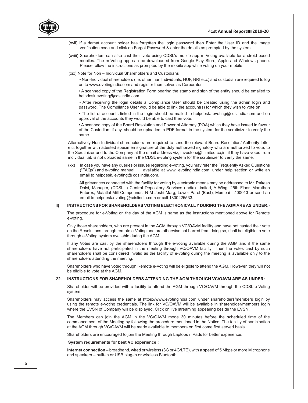

- (xvii) If a demat account holder has forgotten the login password then Enter the User ID and the image verification code and click on Forgot Password & enter the details as prompted by the system.
- (xviii) Shareholders can also cast their vote using CDSL's mobile app m-Voting available for android based mobiles. The m-Voting app can be downloaded from Google Play Store, Apple and Windows phone. Please follow the instructions as prompted by the mobile app while voting on your mobile.
- (xix) Note for Non Individual Shareholders and Custodians

 • Non-Individual shareholders (i.e. other than Individuals, HUF, NRI etc.) and custodian are required to log on to www.evotingindia.com and register themselves as Corporates.

• A scanned copy of the Registration Form bearing the stamp and sign of the entity should be emailed to helpdesk.evoting@cdslindia.com.

 • After receiving the login details a Compliance User should be created using the admin login and password. The Compliance User would be able to link the account(s) for which they wish to vote on.

• The list of accounts linked in the login should be mailed to helpdesk. evoting@cdslindia.com and on approval of the accounts they would be able to cast their vote.

• A scanned copy of the Board Resolution and Power of Attorney (POA) which they have issued in favour of the Custodian, if any, should be uploaded in PDF format in the system for the scrutinizer to verify the same.

 Alternatively Non Individual shareholders are required to send the relevant Board Resolution/ Authority letter etc. together with attested specimen signature of the duly authorized signatory who are authorized to vote, to the Scrutinizer and to the Company at the email address viz; investors@ttlimited.co,in, if they have voted from individual tab & not uploaded same in the CDSL e-voting system for the scrutinizer to verify the same.

 (xx) In case you have any queries or issues regarding e-voting, you may refer the Frequently Asked Questions ("FAQs") and e-voting manual available at www. evotingindia.com, under help section or write an email to helpdesk. evoting@ cdslindia.com.

 All grievances connected with the facility for voting by electronic means may be addressed to Mr. Rakesh Dalvi, Manager, (CDSL, ) Central Depository Services (India) Limited, A Wing, 25th Floor, Marathon Futurex, Mafatlal Mill Compounds, N M Joshi Marg, Lower Parel (East), Mumbai - 400013 or send an email to helpdesk.evoting@cdslindia.com or call 1800225533.

#### **II) INSTRUCTIONS FOR SHAREHOLDERS VOTING ELECTRONICALL Y DURING THE AGM ARE AS UNDER:-**

The procedure for e-Voting on the day of the AGM is same as the instructions mentioned above for Remote e-voting.

Only those shareholders, who are present in the AGM through VC/OAVM facility and have not casted their vote on the Resolutions through remote e-Voting and are otherwise not barred from doing so, shall be eligible to vote through e-Voting system available during the AGM.

If any Votes are cast by the shareholders through the e-voting available during the AGM and if the same shareholders have not participated in the meeting through VC/OAVM facility , then the votes cast by such shareholders shall be considered invalid as the facility of e-voting during the meeting is available only to the shareholders attending the meeting.

Shareholders who have voted through Remote e-Voting will be eligible to attend the AGM. However, they will not be eligible to vote at the AGM.

#### **22. INSTRUCTIONS FOR SHAREHOLDERS ATTENDING THE AGM THROUGH VC/OAVM ARE AS UNDER:**

Shareholder will be provided with a facility to attend the AGM through VC/OAVM through the CDSL e-Voting system.

 Shareholders may access the same at https://www.evotingindia.com under shareholders/members login by using the remote e-voting credentials. The link for VC/OAVM will be available in shareholder/members login where the EVSN of Company will be displayed. Click on live streaming appearing beside the EVSN.

 The Members can join the AGM in the VC/OAVM mode 30 minutes before the scheduled time of the commencement of the Meeting by following the procedure mentioned in the Notice. The facility of participation at the AGM through VC/OAVM will be made available to members on first come first served basis.

Shareholders are encouraged to join the Meeting through Laptops / IPads for better experience.

#### **System requirements for best VC experience :**

 **Internet connection** – broadband, wired or wireless (3G or 4G/LTE), with a speed of 5 Mbps or more Microphone and speakers – built-in or USB plug-in or wireless Bluetooth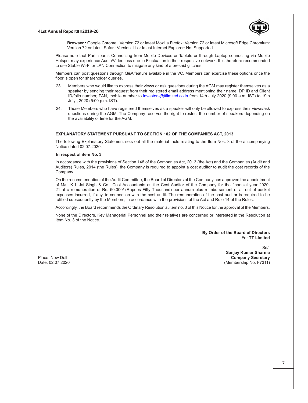

 **Browser :** Google Chrome : Version 72 or latest Mozilla Firefox: Version 72 or latest Microsoft Edge Chromium: Version 72 or latest Safari: Version 11 or latest Internet Explorer: Not Supported

Please note that Participants Connecting from Mobile Devices or Tablets or through Laptop connecting via Mobile Hotspot may experience Audio/Video loss due to Fluctuation in their respective network. It is therefore recommended to use Stable Wi-Fi or LAN Connection to mitigate any kind of aforesaid glitches.

Members can post questions through Q&A feature available in the VC. Members can exercise these options once the floor is open for shareholder queries.

- 23. Members who would like to express their views or ask questions during the AGM may register themselves as a speaker by sending their request from their registered email address mentioning their name, DP ID and Client ID/folio number, PAN, mobile number to investors@ttlimited.co.in from 14th July 2020 (9:00 a.m. IST) to 19th July , 2020 (5:00 p.m. IST).
- 24. Those Members who have registered themselves as a speaker will only be allowed to express their views/ask questions during the AGM. The Company reserves the right to restrict the number of speakers depending on the availability of time for the AGM.

#### **EXPLANATORY STATEMENT PURSUANT TO SECTION 102 OF THE COMPANIES ACT, 2013**

The following Explanatory Statement sets out all the material facts relating to the Item Nos. 3 of the accompanying Notice dated 02.07.2020.

#### **In respect of item No. 3**

In accordance with the provisions of Section 148 of the Companies Act, 2013 (the Act) and the Companies (Audit and Auditors) Rules, 2014 (the Rules), the Company is required to appoint a cost auditor to audit the cost records of the Company.

On the recommendation of the Audit Committee, the Board of Directors of the Company has approved the appointment of M/s. K L Jai Singh & Co., Cost Accountants as the Cost Auditor of the Company for the financial year 2020- 21 at a remuneration of Rs. 50,000/-(Rupees Fifty Thousand) per annum plus reimbursement of all out of pocket expenses incurred, if any, in connection with the cost audit. The remuneration of the cost auditor is required to be ratified subsequently by the Members, in accordance with the provisions of the Act and Rule 14 of the Rules.

Accordingly, the Board recommends the Ordinary Resolution at item no. 3 of this Notice for the approval of the Members.

None of the Directors, Key Managerial Personnel and their relatives are concerned or interested in the Resolution at Item No. 3 of the Notice.

> **By Order of the Board of Directors** For **TT Limited**

Sd/- **Sanjay Kumar Sharma** Place: New Delhi **Company Secretary**<br>
Date: 02.07.2020 **Company Secretary**<br>
Company Secretary (Membership No. F7311) (Membership No. F7311)